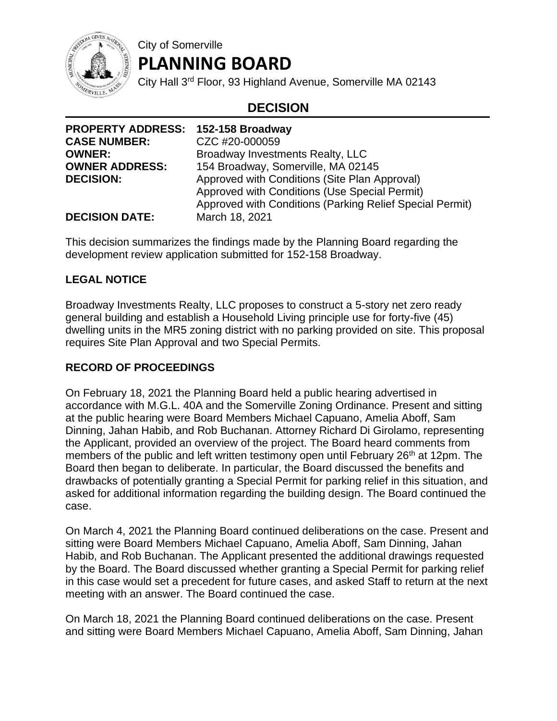

# **PLANNING BOARD**

City of Somerville

City Hall 3rd Floor, 93 Highland Avenue, Somerville MA 02143

## **DECISION**

| PROPERTY ADDRESS: 152-158 Broadway |                                                          |
|------------------------------------|----------------------------------------------------------|
| <b>CASE NUMBER:</b>                | CZC #20-000059                                           |
| <b>OWNER:</b>                      | Broadway Investments Realty, LLC                         |
| <b>OWNER ADDRESS:</b>              | 154 Broadway, Somerville, MA 02145                       |
| <b>DECISION:</b>                   | Approved with Conditions (Site Plan Approval)            |
|                                    | Approved with Conditions (Use Special Permit)            |
|                                    | Approved with Conditions (Parking Relief Special Permit) |
| <b>DECISION DATE:</b>              | March 18, 2021                                           |

This decision summarizes the findings made by the Planning Board regarding the development review application submitted for 152-158 Broadway.

### **LEGAL NOTICE**

Broadway Investments Realty, LLC proposes to construct a 5-story net zero ready general building and establish a Household Living principle use for forty-five (45) dwelling units in the MR5 zoning district with no parking provided on site. This proposal requires Site Plan Approval and two Special Permits.

#### **RECORD OF PROCEEDINGS**

On February 18, 2021 the Planning Board held a public hearing advertised in accordance with M.G.L. 40A and the Somerville Zoning Ordinance. Present and sitting at the public hearing were Board Members Michael Capuano, Amelia Aboff, Sam Dinning, Jahan Habib, and Rob Buchanan. Attorney Richard Di Girolamo, representing the Applicant, provided an overview of the project. The Board heard comments from members of the public and left written testimony open until February 26<sup>th</sup> at 12pm. The Board then began to deliberate. In particular, the Board discussed the benefits and drawbacks of potentially granting a Special Permit for parking relief in this situation, and asked for additional information regarding the building design. The Board continued the case.

On March 4, 2021 the Planning Board continued deliberations on the case. Present and sitting were Board Members Michael Capuano, Amelia Aboff, Sam Dinning, Jahan Habib, and Rob Buchanan. The Applicant presented the additional drawings requested by the Board. The Board discussed whether granting a Special Permit for parking relief in this case would set a precedent for future cases, and asked Staff to return at the next meeting with an answer. The Board continued the case.

On March 18, 2021 the Planning Board continued deliberations on the case. Present and sitting were Board Members Michael Capuano, Amelia Aboff, Sam Dinning, Jahan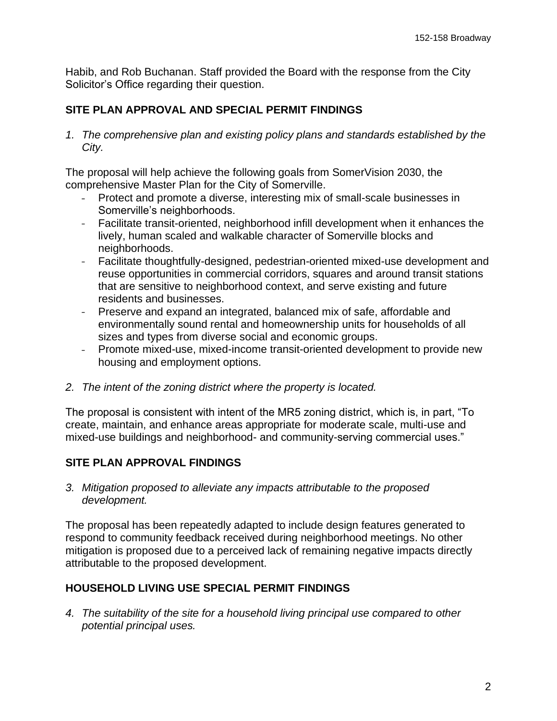Habib, and Rob Buchanan. Staff provided the Board with the response from the City Solicitor's Office regarding their question.

#### **SITE PLAN APPROVAL AND SPECIAL PERMIT FINDINGS**

*1. The comprehensive plan and existing policy plans and standards established by the City.*

The proposal will help achieve the following goals from SomerVision 2030, the comprehensive Master Plan for the City of Somerville.

- Protect and promote a diverse, interesting mix of small-scale businesses in Somerville's neighborhoods.
- Facilitate transit-oriented, neighborhood infill development when it enhances the lively, human scaled and walkable character of Somerville blocks and neighborhoods.
- Facilitate thoughtfully-designed, pedestrian-oriented mixed-use development and  $\frac{1}{2}$ reuse opportunities in commercial corridors, squares and around transit stations that are sensitive to neighborhood context, and serve existing and future residents and businesses.
- Preserve and expand an integrated, balanced mix of safe, affordable and environmentally sound rental and homeownership units for households of all sizes and types from diverse social and economic groups.
- Promote mixed-use, mixed-income transit-oriented development to provide new housing and employment options.
- *2. The intent of the zoning district where the property is located.*

The proposal is consistent with intent of the MR5 zoning district, which is, in part, "To create, maintain, and enhance areas appropriate for moderate scale, multi-use and mixed-use buildings and neighborhood- and community-serving commercial uses."

#### **SITE PLAN APPROVAL FINDINGS**

*3. Mitigation proposed to alleviate any impacts attributable to the proposed development.*

The proposal has been repeatedly adapted to include design features generated to respond to community feedback received during neighborhood meetings. No other mitigation is proposed due to a perceived lack of remaining negative impacts directly attributable to the proposed development.

#### **HOUSEHOLD LIVING USE SPECIAL PERMIT FINDINGS**

*4. The suitability of the site for a household living principal use compared to other potential principal uses.*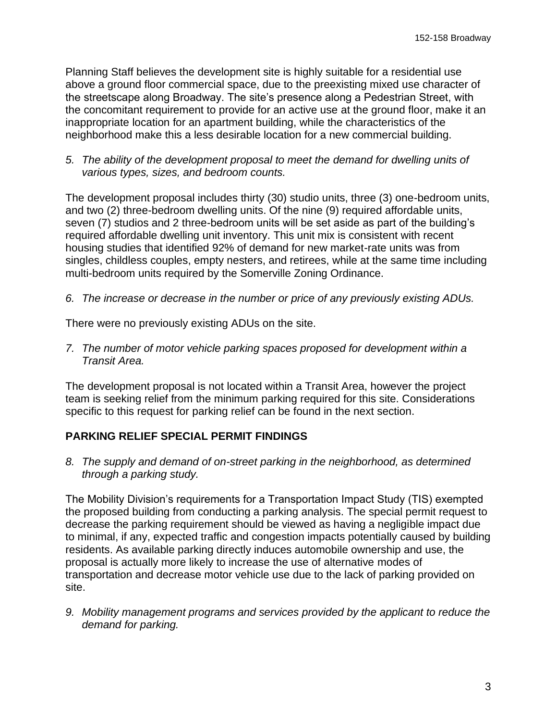Planning Staff believes the development site is highly suitable for a residential use above a ground floor commercial space, due to the preexisting mixed use character of the streetscape along Broadway. The site's presence along a Pedestrian Street, with the concomitant requirement to provide for an active use at the ground floor, make it an inappropriate location for an apartment building, while the characteristics of the neighborhood make this a less desirable location for a new commercial building.

*5. The ability of the development proposal to meet the demand for dwelling units of various types, sizes, and bedroom counts.*

The development proposal includes thirty (30) studio units, three (3) one-bedroom units, and two (2) three-bedroom dwelling units. Of the nine (9) required affordable units, seven (7) studios and 2 three-bedroom units will be set aside as part of the building's required affordable dwelling unit inventory. This unit mix is consistent with recent housing studies that identified 92% of demand for new market-rate units was from singles, childless couples, empty nesters, and retirees, while at the same time including multi-bedroom units required by the Somerville Zoning Ordinance.

*6. The increase or decrease in the number or price of any previously existing ADUs.*

There were no previously existing ADUs on the site.

*7. The number of motor vehicle parking spaces proposed for development within a Transit Area.*

The development proposal is not located within a Transit Area, however the project team is seeking relief from the minimum parking required for this site. Considerations specific to this request for parking relief can be found in the next section.

#### **PARKING RELIEF SPECIAL PERMIT FINDINGS**

*8. The supply and demand of on-street parking in the neighborhood, as determined through a parking study.*

The Mobility Division's requirements for a Transportation Impact Study (TIS) exempted the proposed building from conducting a parking analysis. The special permit request to decrease the parking requirement should be viewed as having a negligible impact due to minimal, if any, expected traffic and congestion impacts potentially caused by building residents. As available parking directly induces automobile ownership and use, the proposal is actually more likely to increase the use of alternative modes of transportation and decrease motor vehicle use due to the lack of parking provided on site.

*9. Mobility management programs and services provided by the applicant to reduce the demand for parking.*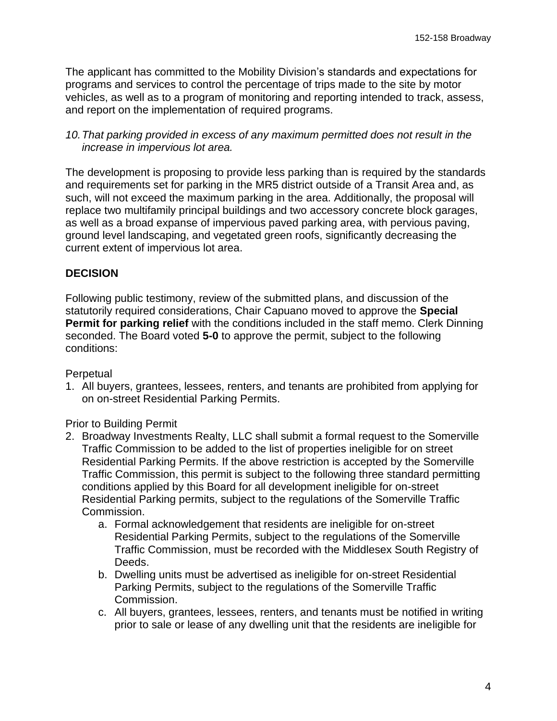The applicant has committed to the Mobility Division's standards and expectations for programs and services to control the percentage of trips made to the site by motor vehicles, as well as to a program of monitoring and reporting intended to track, assess, and report on the implementation of required programs.

*10.That parking provided in excess of any maximum permitted does not result in the increase in impervious lot area.*

The development is proposing to provide less parking than is required by the standards and requirements set for parking in the MR5 district outside of a Transit Area and, as such, will not exceed the maximum parking in the area. Additionally, the proposal will replace two multifamily principal buildings and two accessory concrete block garages, as well as a broad expanse of impervious paved parking area, with pervious paving, ground level landscaping, and vegetated green roofs, significantly decreasing the current extent of impervious lot area.

#### **DECISION**

Following public testimony, review of the submitted plans, and discussion of the statutorily required considerations, Chair Capuano moved to approve the **Special Permit for parking relief** with the conditions included in the staff memo. Clerk Dinning seconded. The Board voted **5-0** to approve the permit, subject to the following conditions:

#### Perpetual

1. All buyers, grantees, lessees, renters, and tenants are prohibited from applying for on on-street Residential Parking Permits.

Prior to Building Permit

- 2. Broadway Investments Realty, LLC shall submit a formal request to the Somerville Traffic Commission to be added to the list of properties ineligible for on street Residential Parking Permits. If the above restriction is accepted by the Somerville Traffic Commission, this permit is subject to the following three standard permitting conditions applied by this Board for all development ineligible for on-street Residential Parking permits, subject to the regulations of the Somerville Traffic Commission.
	- a. Formal acknowledgement that residents are ineligible for on-street Residential Parking Permits, subject to the regulations of the Somerville Traffic Commission, must be recorded with the Middlesex South Registry of Deeds.
	- b. Dwelling units must be advertised as ineligible for on-street Residential Parking Permits, subject to the regulations of the Somerville Traffic Commission.
	- c. All buyers, grantees, lessees, renters, and tenants must be notified in writing prior to sale or lease of any dwelling unit that the residents are ineligible for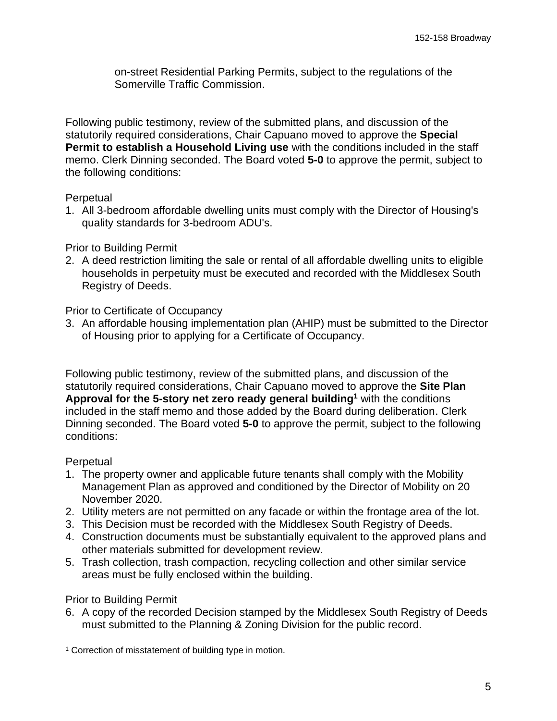on-street Residential Parking Permits, subject to the regulations of the Somerville Traffic Commission.

Following public testimony, review of the submitted plans, and discussion of the statutorily required considerations, Chair Capuano moved to approve the **Special Permit to establish a Household Living use** with the conditions included in the staff memo. Clerk Dinning seconded. The Board voted **5-0** to approve the permit, subject to the following conditions:

#### **Perpetual**

1. All 3-bedroom affordable dwelling units must comply with the Director of Housing's quality standards for 3-bedroom ADU's.

#### Prior to Building Permit

2. A deed restriction limiting the sale or rental of all affordable dwelling units to eligible households in perpetuity must be executed and recorded with the Middlesex South Registry of Deeds.

#### Prior to Certificate of Occupancy

3. An affordable housing implementation plan (AHIP) must be submitted to the Director of Housing prior to applying for a Certificate of Occupancy.

Following public testimony, review of the submitted plans, and discussion of the statutorily required considerations, Chair Capuano moved to approve the **Site Plan Approval for the 5-story net zero ready general building<sup>1</sup>** with the conditions included in the staff memo and those added by the Board during deliberation. Clerk Dinning seconded. The Board voted **5-0** to approve the permit, subject to the following conditions:

#### **Perpetual**

- 1. The property owner and applicable future tenants shall comply with the Mobility Management Plan as approved and conditioned by the Director of Mobility on 20 November 2020.
- 2. Utility meters are not permitted on any facade or within the frontage area of the lot.
- 3. This Decision must be recorded with the Middlesex South Registry of Deeds.
- 4. Construction documents must be substantially equivalent to the approved plans and other materials submitted for development review.
- 5. Trash collection, trash compaction, recycling collection and other similar service areas must be fully enclosed within the building.

#### Prior to Building Permit

6. A copy of the recorded Decision stamped by the Middlesex South Registry of Deeds must submitted to the Planning & Zoning Division for the public record.

<sup>&</sup>lt;sup>1</sup> Correction of misstatement of building type in motion.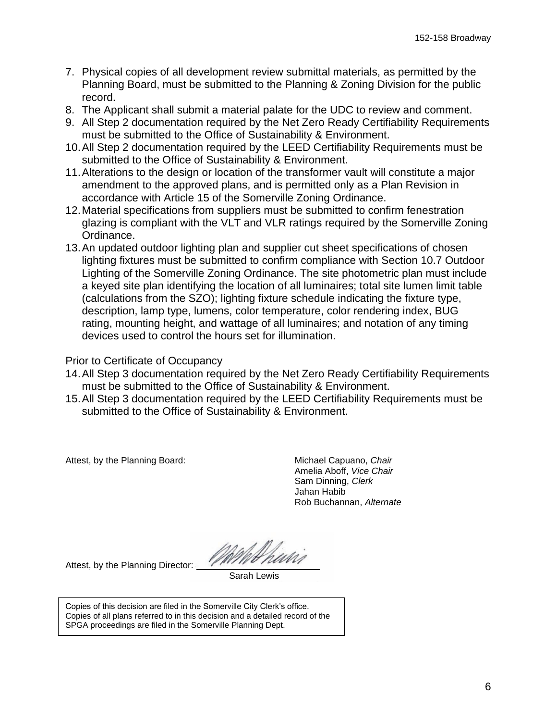- 7. Physical copies of all development review submittal materials, as permitted by the Planning Board, must be submitted to the Planning & Zoning Division for the public record.
- 8. The Applicant shall submit a material palate for the UDC to review and comment.
- 9. All Step 2 documentation required by the Net Zero Ready Certifiability Requirements must be submitted to the Office of Sustainability & Environment.
- 10.All Step 2 documentation required by the LEED Certifiability Requirements must be submitted to the Office of Sustainability & Environment.
- 11.Alterations to the design or location of the transformer vault will constitute a major amendment to the approved plans, and is permitted only as a Plan Revision in accordance with Article 15 of the Somerville Zoning Ordinance.
- 12.Material specifications from suppliers must be submitted to confirm fenestration glazing is compliant with the VLT and VLR ratings required by the Somerville Zoning Ordinance.
- 13.An updated outdoor lighting plan and supplier cut sheet specifications of chosen lighting fixtures must be submitted to confirm compliance with Section 10.7 Outdoor Lighting of the Somerville Zoning Ordinance. The site photometric plan must include a keyed site plan identifying the location of all luminaires; total site lumen limit table (calculations from the SZO); lighting fixture schedule indicating the fixture type, description, lamp type, lumens, color temperature, color rendering index, BUG rating, mounting height, and wattage of all luminaires; and notation of any timing devices used to control the hours set for illumination.

Prior to Certificate of Occupancy

- 14.All Step 3 documentation required by the Net Zero Ready Certifiability Requirements must be submitted to the Office of Sustainability & Environment.
- 15.All Step 3 documentation required by the LEED Certifiability Requirements must be submitted to the Office of Sustainability & Environment.

Attest, by the Planning Board: Michael Capuano, *Chair* 

Amelia Aboff, *Vice Chair* Sam Dinning, *Clerk* Jahan Habib Rob Buchannan, *Alternate*

Attest, by the Planning Director:

Sarah Lewis

Copies of this decision are filed in the Somerville City Clerk's office. Copies of all plans referred to in this decision and a detailed record of the SPGA proceedings are filed in the Somerville Planning Dept.